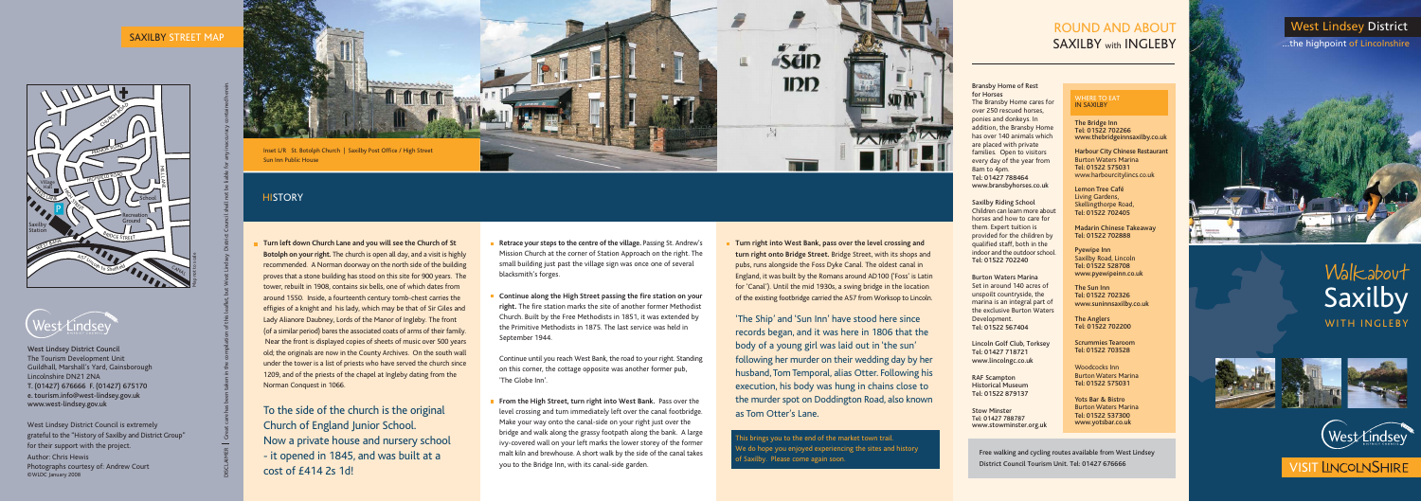# Walkabout Saxilby WITH INGLEBY







## **VISIT LINCOLNSHIRE**

## West Lindsey District ...the highpoint of Lincolnshire



## ROUND AND ABOUT SAXILBY with INGLEBY

Bransby Home of Rest for Horses The Bransby Home cares for over 250 rescued horses, ponies and donkeys. In addition, the Bransby Home has over 140 animals which are placed with private families. Open to visitors every day of the year from 8am to 4pm. Tel: 01427 788464 www.bransbyhorses.co.uk

Saxilby Riding School Children can learn more about horses and how to care for them. Expert tuition is provided for the children by qualified staff, both in the indoor and the outdoor school. Tel: 01522 702240

Burton Waters Marina Set in around 140 acres of unspoilt countryside, the marina is an integral part of the exclusive Burton Waters Development. Tel: 01522 567404

> Yots Bar & Bistro Burton Waters Marina Tel: 01522 537300<br>www.yotsbar.co.uk

Lincoln Golf Club, Torksey Tel: 01427 718721 www.lincolngc.co.uk

RAF Scampton Historical Museum Tel: 01522 879137

Stow Minster Tel: 01427 788787 www.stowminster.org.uk

#### WHERE TO EAT IN SAXILBY

The Bridge Inn Tel: 01522 702266 www.thebridgeinnsaxilby.co.uk

Harbour City Chinese Restaurant Burton Waters Marina Tel: 01522 575031 www.harbourcitylincs.co.uk

Lemon Tree Café Living Gardens, Skellingthorpe Road, Tel: 01522 702405

Madarin Chinese Takeaway Tel: 01522 702888

Pyewipe Inn Saxilby Road, Lincoln Tel: 01522 528708 www.pyewipeinn.co.uk

The Sun Inn Tel: 01522 702326 www.suninnsaxilby.co.uk

The Anglers Tel: 01522 702200

Scrummies Tearoom Tel: 01522 703528

West Lindsey District Council is extremely www.yotsbar.co.uk **From the High Street, turn right into West Bank.** Pass over the level crossing and turn immediately left over the canal footbridge. Make your way onto the canal-side on your right just over the bridge and walk along the grassy footpath along the bank. A large ivy-covered wall on your left marks the lower storey of the former malt kiln and brewhouse. A short walk by the side of the canal takes you to the Bridge Inn, with its canal-side garden.

Woodcocks Inn Burton Waters Marina Tel: 01522 575031

grateful to the "History of Saxilby and District Group" for their support with the project. Author: Chris Hewis Photographs courtesy of: Andrew Court ©WLDC January 2008

#### SAXILBY STREET MAP

- **Retrace your steps to the centre of the village.** Passing St. Andrew's Mission Church at the corner of Station Approach on the right. The small building just past the village sign was once one of several blacksmith's forges.
- **Continue along the High Street passing the fire station on your right.** The fire station marks the site of another former Methodist Church. Built by the Free Methodists in 1851, it was extended by the Primitive Methodists in 1875. The last service was held in September 1944.

Continue until you reach West Bank, the road to your right. Standing on this corner, the cottage opposite was another former pub, 'The Globe Inn'.



Sun Inn Public House

### **HISTORY**

DISCLAIMER Great care has been taken in the compilation of this leaflet, but West Lindsey District Council shall not be liable for any inaccuracy contained herein.

**Turn left down Church Lane and you will see the Church of St Botolph on your right.** The church is open all day, and a visit is highly recommended. A Norman doorway on the north side of the building proves that a stone building has stood on this site for 900 years. The tower, rebuilt in 1908, contains six bells, one of which dates from around 1550. Inside, a fourteenth century tomb-chest carries the effigies of a knight and his lady, which may be that of Sir Giles and Lady Alianore Daubney, Lords of the Manor of Ingleby. The front (of a similar period) bares the associated coats of arms of their family. Near the front is displayed copies of sheets of music over 500 years old; the originals are now in the County Archives. On the south wall under the tower is a list of priests who have served the church since 1209, and of the priests of the chapel at Ingleby dating from the Norman Conquest in 1066.

To the side of the church is the original Now a private house and nursery school - it opened in 1845, and was built at a cost of £414 2s 1d!

Free walking and cycling routes available from West Lindsey District Council Tourism Unit. Tel: 01427 676666

**Turn right into West Bank, pass over the level crossing and turn right onto Bridge Street.** Bridge Street, with its shops and pubs, runs alongside the Foss Dyke Canal. The oldest canal in England, it was built by the Romans around AD100 ('Foss' is Latin for 'Canal'). Until the mid 1930s, a swing bridge in the location of the existing footbridge carried the A57 from Worksop to Lincoln.

'The Ship' and 'Sun Inn' have stood here since records began, and it was here in 1806 that the body of a young girl was laid out in 'the sun' following her murder on their wedding day by her husband, Tom Temporal, alias Otter. Following his execution, his body was hung in chains close to the murder spot on Doddington Road, also known as Tom Otter's Lane.

This brings you to the end of the market town trail. We do hope you enjoyed experiencing the sites and history of Saxilby. Please come again soon.



West Lindsey District Council The Tourism Development Unit Guildhall, Marshall's Yard, Gainsborough Lincolnshire DN21 2NA T. (01427) 676666 F. (01427) 675170 e. tourism.info@west-lindsey.gov.uk www.west-lindsey.gov.uk